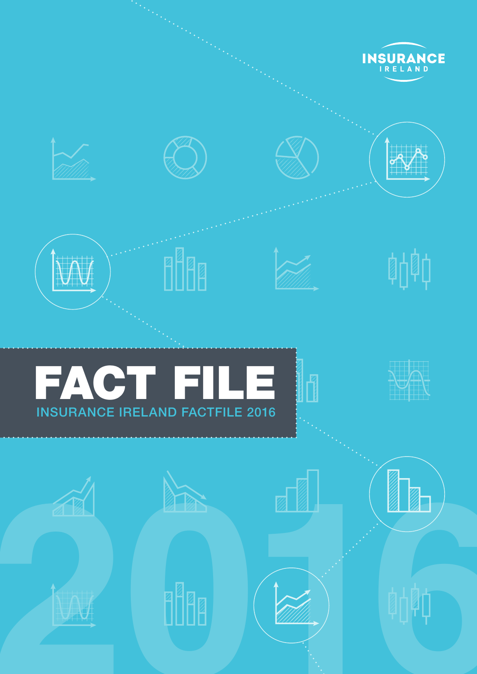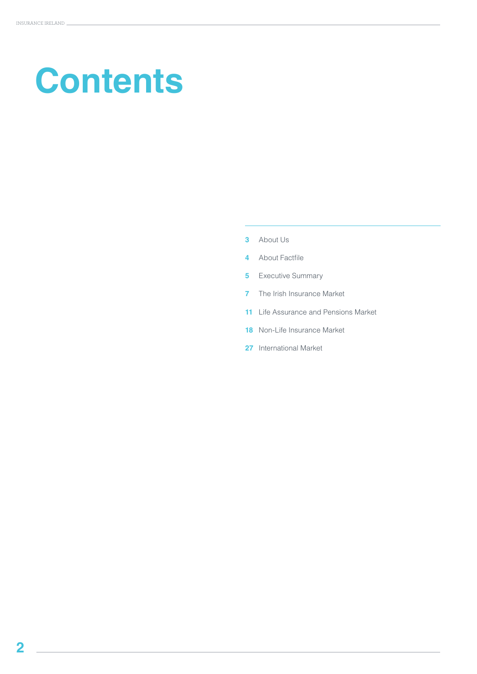# **Contents**

- About Us
- About Factfile
- Executive Summary
- The Irish Insurance Market
- Life Assurance and Pensions Market
- Non-Life Insurance Market
- International Market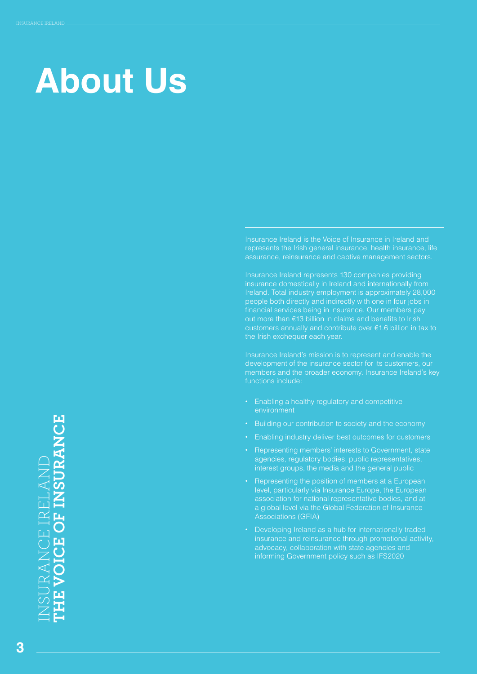### **About Us**

Insurance Ireland is the Voice of Insurance in Ireland and represents the Irish general insurance, health insurance, life assurance, reinsurance and captive management sectors.

Insurance Ireland represents 130 companies providing insurance domestically in Ireland and internationally from Ireland. Total industry employment is approximately 28,000 people both directly and indirectly with one in four jobs in financial services being in insurance. Our members pay out more than €13 billion in claims and benefits to Irish customers annually and contribute over €1.6 billion in tax to the Irish exchequer each year.

Insurance Ireland's mission is to represent and enable the development of the insurance sector for its customers, our members and the broader economy. Insurance Ireland's key functions include:

- **•** Enabling a healthy regulatory and competitive environment
- **•** Building our contribution to society and the economy
- **•** Enabling industry deliver best outcomes for customers
- **•** Representing members' interests to Government, state agencies, regulatory bodies, public representatives, interest groups, the media and the general public
- **•** Representing the position of members at a European level, particularly via Insurance Europe, the European association for national representative bodies, and at a global level via the Global Federation of Insurance Associations (GFIA)
- **•** Developing Ireland as a hub for internationally traded insurance and reinsurance through promotional activity, advocacy, collaboration with state agencies and informing Government policy such as IFS2020

INSURANCE IRELAND **THE VOICE OF INSURANCE VOICE OF INSURANCE JRANCE IRELAN** .<br>Ш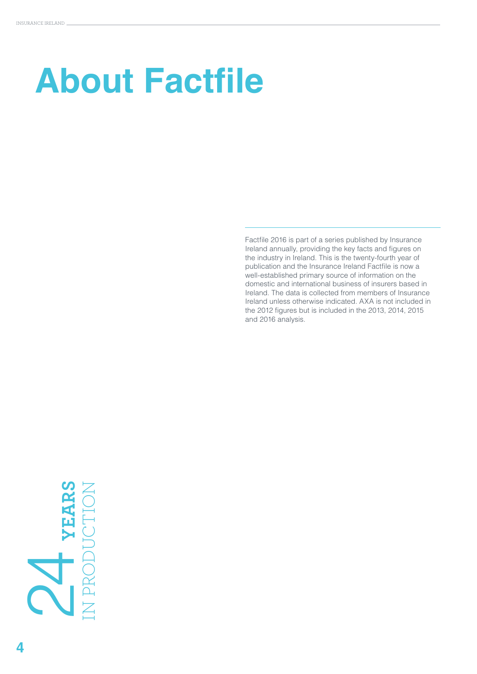# **About Factfile**

Factfile 2016 is part of a series published by Insurance Ireland annually, providing the key facts and figures on the industry in Ireland. This is the twenty-fourth year of publication and the Insurance Ireland Factfile is now a well-established primary source of information on the domestic and international business of insurers based in Ireland. The data is collected from members of Insurance Ireland unless otherwise indicated. AXA is not included in the 2012 figures but is included in the 2013, 2014, 2015 and 2016 analysis.

# **YEARS 2**<br>I PRODUC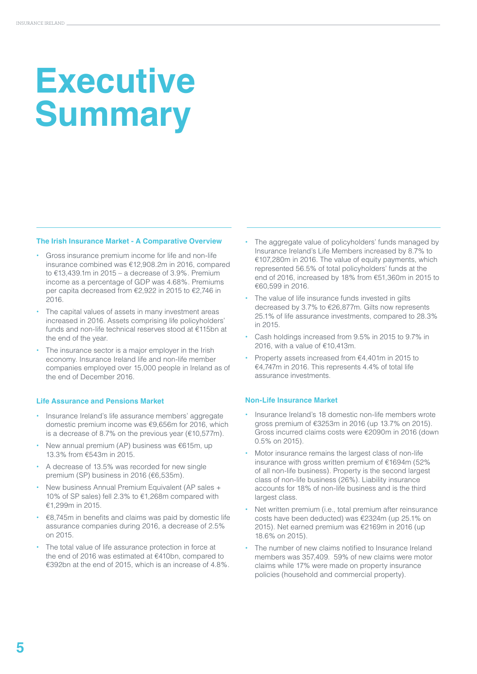## **Executive Summary**

#### **The Irish Insurance Market - A Comparative Overview**

- **•** Gross insurance premium income for life and non-life insurance combined was €12,908.2m in 2016, compared to  $£13,439.1m$  in 2015 – a decrease of 3.9%. Premium income as a percentage of GDP was 4.68%. Premiums per capita decreased from €2,922 in 2015 to €2,746 in 2016.
- **•** The capital values of assets in many investment areas increased in 2016. Assets comprising life policyholders' funds and non-life technical reserves stood at €115bn at the end of the year.
- **•** The insurance sector is a major employer in the Irish economy. Insurance Ireland life and non-life member companies employed over 15,000 people in Ireland as of the end of December 2016.

#### **Life Assurance and Pensions Market**

- **•** Insurance Ireland's life assurance members' aggregate domestic premium income was €9,656m for 2016, which is a decrease of 8.7% on the previous year (€10,577m).
- **•** New annual premium (AP) business was €615m, up 13.3% from €543m in 2015.
- **•** A decrease of 13.5% was recorded for new single premium (SP) business in 2016 (€6,535m).
- **•** New business Annual Premium Equivalent (AP sales + 10% of SP sales) fell 2.3% to €1,268m compared with €1,299m in 2015.
- **•** €8,745m in benefits and claims was paid by domestic life assurance companies during 2016, a decrease of 2.5% on 2015.
- **•** The total value of life assurance protection in force at the end of 2016 was estimated at €410bn, compared to €392bn at the end of 2015, which is an increase of 4.8%.
- **•** The aggregate value of policyholders' funds managed by Insurance Ireland's Life Members increased by 8.7% to €107,280m in 2016. The value of equity payments, which represented 56.5% of total policyholders' funds at the end of 2016, increased by 18% from €51,360m in 2015 to €60,599 in 2016.
- **•** The value of life insurance funds invested in gilts decreased by 3.7% to €26,877m. Gilts now represents 25.1% of life assurance investments, compared to 28.3% in 2015.
- **•** Cash holdings increased from 9.5% in 2015 to 9.7% in 2016, with a value of €10,413m.
- **•** Property assets increased from €4,401m in 2015 to €4,747m in 2016. This represents 4.4% of total life assurance investments.

#### **Non-Life Insurance Market**

- **•** Insurance Ireland's 18 domestic non-life members wrote gross premium of €3253m in 2016 (up 13.7% on 2015). Gross incurred claims costs were €2090m in 2016 (down 0.5% on 2015).
- **•** Motor insurance remains the largest class of non-life insurance with gross written premium of €1694m (52% of all non-life business). Property is the second largest class of non-life business (26%). Liability insurance accounts for 18% of non-life business and is the third largest class.
- **•** Net written premium (i.e., total premium after reinsurance costs have been deducted) was €2324m (up 25.1% on 2015). Net earned premium was €2169m in 2016 (up 18.6% on 2015).
- **•** The number of new claims notified to Insurance Ireland members was 357,409. 59% of new claims were motor claims while 17% were made on property insurance policies (household and commercial property).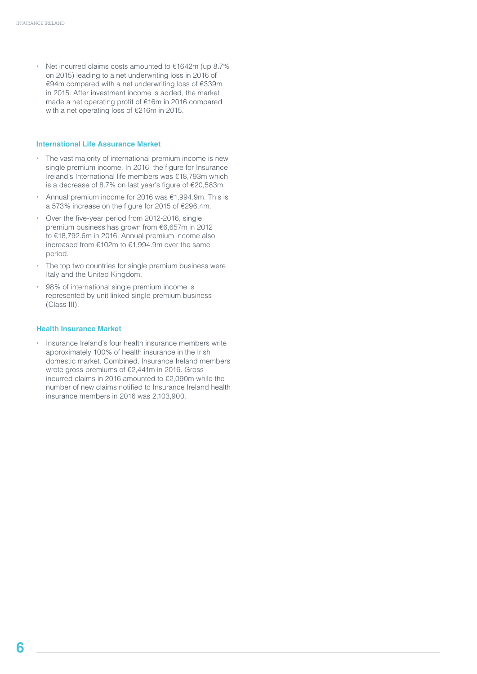**•** Net incurred claims costs amounted to €1642m (up 8.7% on 2015) leading to a net underwriting loss in 2016 of €94m compared with a net underwriting loss of €339m in 2015. After investment income is added, the market made a net operating profit of €16m in 2016 compared with a net operating loss of €216m in 2015.

#### **International Life Assurance Market**

- **•** The vast majority of international premium income is new single premium income. In 2016, the figure for Insurance Ireland's International life members was €18,793m which is a decrease of 8.7% on last year's figure of €20,583m.
- **•** Annual premium income for 2016 was €1,994.9m. This is a 573% increase on the figure for 2015 of €296.4m.
- **•** Over the five-year period from 2012-2016, single premium business has grown from €6,657m in 2012 to €18,792.6m in 2016. Annual premium income also increased from €102m to €1,994.9m over the same period.
- **•** The top two countries for single premium business were Italy and the United Kingdom.
- **•** 98% of international single premium income is represented by unit linked single premium business (Class III).

#### **Health Insurance Market**

**•** Insurance Ireland's four health insurance members write approximately 100% of health insurance in the Irish domestic market. Combined, Insurance Ireland members wrote gross premiums of €2,441m in 2016. Gross incurred claims in 2016 amounted to €2,090m while the number of new claims notified to Insurance Ireland health insurance members in 2016 was 2,103,900.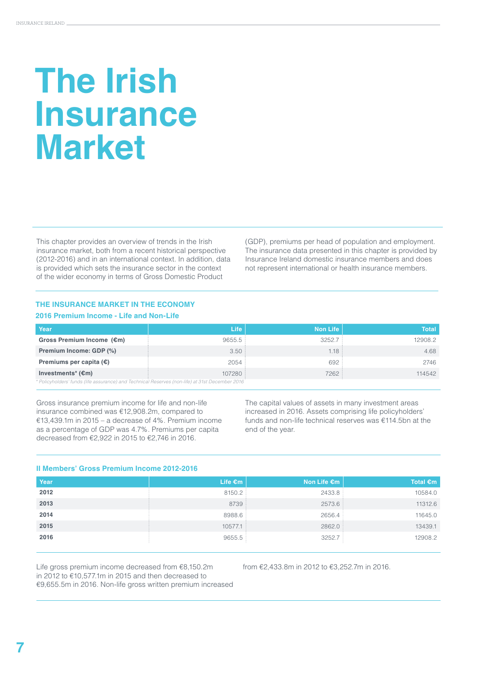### **The Irish Insurance Market**

This chapter provides an overview of trends in the Irish insurance market, both from a recent historical perspective (2012-2016) and in an international context. In addition, data is provided which sets the insurance sector in the context of the wider economy in terms of Gross Domestic Product

(GDP), premiums per head of population and employment. The insurance data presented in this chapter is provided by Insurance Ireland domestic insurance members and does not represent international or health insurance members.

#### **THE INSURANCE MARKET IN THE ECONOMY 2016 Premium Income - Life and Non-Life**

| Year                                                                                            | Life:  | Non Life | <b>Total</b> |
|-------------------------------------------------------------------------------------------------|--------|----------|--------------|
| Gross Premium Income (€m)                                                                       | 9655.5 | 3252.7   | 12908.2      |
| Premium Income: GDP (%)                                                                         | 3.50:  | 1.18:    | 4.68         |
| Premiums per capita $(\epsilon)$                                                                | 2054   | 692      | 2746         |
| Investments <sup>*</sup> $(\epsilon m)$                                                         | 107280 | 7262     | 114542       |
| * Policyholders' funds (life assurance) and Technical Reserves (non-life) at 31st December 2016 |        |          |              |

Gross insurance premium income for life and non-life insurance combined was €12,908.2m, compared to €13,439.1m in 2015 – a decrease of 4%. Premium income as a percentage of GDP was 4.7%. Premiums per capita decreased from €2,922 in 2015 to €2,746 in 2016.

The capital values of assets in many investment areas increased in 2016. Assets comprising life policyholders' funds and non-life technical reserves was €114.5bn at the end of the year.

#### **II Members' Gross Premium Income 2012-2016**

| Year | Life $\epsilon$ m | Non Life €m | Total $\epsilon$ m |
|------|-------------------|-------------|--------------------|
| 2012 | 8150.2            | 2433.8      | 10584.0            |
| 2013 | 8739              | 2573.6      | 11312.6            |
| 2014 | 8988.6            | 2656.4      | 11645.0            |
| 2015 | 10577.1           | 2862.0      | 13439.1            |
| 2016 | 9655.5            | 3252.7      | 12908.2            |

Life gross premium income decreased from €8,150.2m in 2012 to €10,577.1m in 2015 and then decreased to €9,655.5m in 2016. Non-life gross written premium increased from €2,433.8m in 2012 to €3,252.7m in 2016.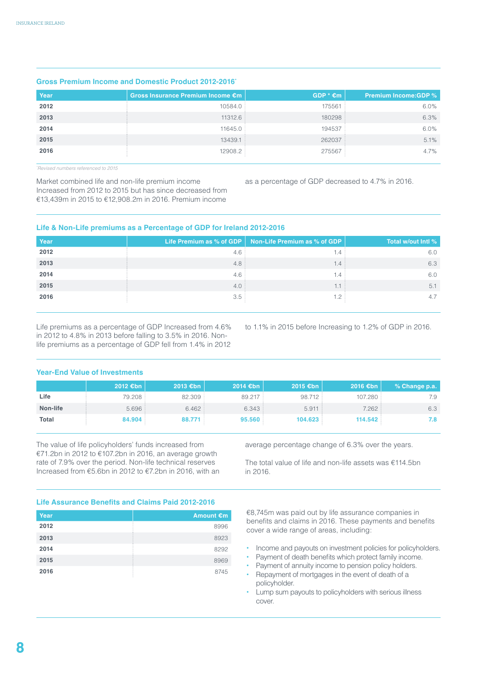| <u>GIUSS FIEIIIUIII IIIUUIIIE AIIU DUIIIESIIU FIUUUUL ZUTZ-ZUTU</u> |                                   |                    |                             |  |  |
|---------------------------------------------------------------------|-----------------------------------|--------------------|-----------------------------|--|--|
| Year                                                                | Gross Insurance Premium Income €m | $GDP * \epsilon m$ | <b>Premium Income:GDP %</b> |  |  |
| 2012                                                                | 10584.0                           | 175561             | 6.0%                        |  |  |
| 2013                                                                | 11312.6                           | 180298             | 6.3%                        |  |  |
| 2014                                                                | 11645.0                           | 194537             | 6.0%                        |  |  |
| 2015                                                                | 13439.1                           | 262037             | 5.1%                        |  |  |
| 2016                                                                | 12908.2                           | 275567             | $4.7\%$                     |  |  |

#### **Gross Premium Income and Domestic Product 2012-2016\***

*\* Revised numbers referenced to 2015*

Market combined life and non-life premium income Increased from 2012 to 2015 but has since decreased from €13,439m in 2015 to €12,908.2m in 2016. Premium income

as a percentage of GDP decreased to 4.7% in 2016.

#### **Life & Non-Life premiums as a Percentage of GDP for Ireland 2012-2016**

| Year |               | Life Premium as % of GDP $\vert$ Non-Life Premium as % of GDP $\vert$ | Total w/out Intl % |
|------|---------------|-----------------------------------------------------------------------|--------------------|
| 2012 | 4.6           | . . 4                                                                 | 6.0                |
| 2013 | 4.8:          | .4                                                                    | 6.3                |
| 2014 | $4.6^{\circ}$ | . . 4                                                                 | 6.0                |
| 2015 | 4.0:          |                                                                       | 5.                 |
| 2016 | 3.5           |                                                                       |                    |

Life premiums as a percentage of GDP Increased from 4.6% in 2012 to 4.8% in 2013 before falling to 3.5% in 2016. Nonlife premiums as a percentage of GDP fell from 1.4% in 2012

to 1.1% in 2015 before Increasing to 1.2% of GDP in 2016.

#### **Year-End Value of Investments**

|              | 2012 €bn $\vert$ | 2013 €bn | $2014$ €bn | $2015$ €bn | 2016 €bn | % Change p.a. |
|--------------|------------------|----------|------------|------------|----------|---------------|
| Life         | 79.208           | 82.309   | 89.217     | 98.712     | 107.280  | 7.9           |
| Non-life     | 5.696:           | 6.462:   | 6.343:     | 5.911      | 7.262    | 6.3           |
| <b>Total</b> | 84.904           | 88.771   | 95.560     | 104.623    | 114.542  | 7.8           |

The value of life policyholders' funds increased from €71.2bn in 2012 to €107.2bn in 2016, an average growth rate of 7.9% over the period. Non-life technical reserves Increased from €5.6bn in 2012 to €7.2bn in 2016, with an average percentage change of 6.3% over the years.

The total value of life and non-life assets was €114.5bn in 2016.

#### **Life Assurance Benefits and Claims Paid 2012-2016**

| Year | Amount €m |
|------|-----------|
| 2012 | 8996      |
| 2013 | 8923      |
| 2014 | 8292      |
| 2015 | 8969      |
| 2016 | 8745      |

€8,745m was paid out by life assurance companies in benefits and claims in 2016. These payments and benefits cover a wide range of areas, including:

- **•** Income and payouts on investment policies for policyholders.
- **•** Payment of death benefits which protect family income.
- **•** Payment of annuity income to pension policy holders.
- **•** Repayment of mortgages in the event of death of a policyholder.
- **•** Lump sum payouts to policyholders with serious illness cover.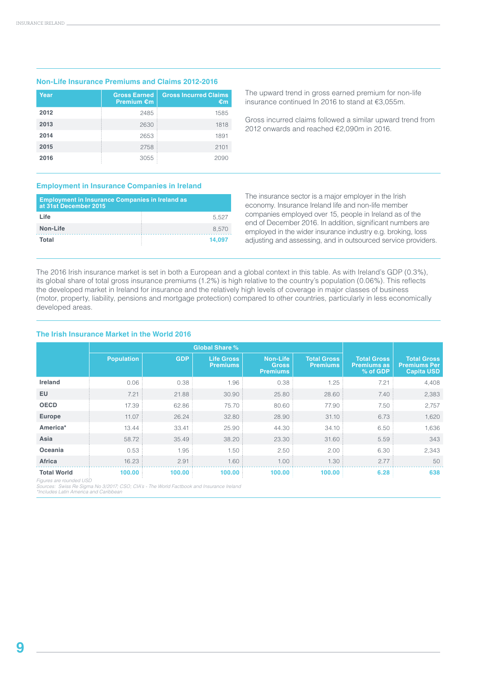#### **Non-Life Insurance Premiums and Claims 2012-2016**

| Year | <b>Gross Earned</b><br><b>Premium €m</b> | <b>Gross Incurred Claims</b><br>€m |
|------|------------------------------------------|------------------------------------|
| 2012 | 2485                                     | 1585                               |
| 2013 | 2630                                     | 1818                               |
| 2014 | 2653                                     | 1891                               |
| 2015 | 2758                                     | 2101                               |
| 2016 | 3055                                     | 2090                               |

The upward trend in gross earned premium for non-life insurance continued In 2016 to stand at €3,055m.

Gross incurred claims followed a similar upward trend from 2012 onwards and reached €2,090m in 2016.

#### **Employment in Insurance Companies in Ireland**

| <b>Employment in Insurance Companies in Ireland as</b><br>at 31st December 2015 |        |
|---------------------------------------------------------------------------------|--------|
| Life                                                                            | 5.527  |
| Non-Life                                                                        | 8.570  |
| Total                                                                           | 14.097 |

The insurance sector is a major employer in the Irish economy. Insurance Ireland life and non-life member companies employed over 15, people in Ireland as of the end of December 2016. In addition, significant numbers are employed in the wider insurance industry e.g. broking, loss adjusting and assessing, and in outsourced service providers.

The 2016 Irish insurance market is set in both a European and a global context in this table. As with Ireland's GDP (0.3%), its global share of total gross insurance premiums (1.2%) is high relative to the country's population (0.06%). This reflects the developed market in Ireland for insurance and the relatively high levels of coverage in major classes of business (motor, property, liability, pensions and mortgage protection) compared to other countries, particularly in less economically developed areas.

#### **The Irish Insurance Market in the World 2016**

|                    |                   | <b>Global Share %</b> |                                      |                                                    |                                       |                                                      |                                                                |
|--------------------|-------------------|-----------------------|--------------------------------------|----------------------------------------------------|---------------------------------------|------------------------------------------------------|----------------------------------------------------------------|
|                    | <b>Population</b> | <b>GDP</b>            | <b>Life Gross</b><br><b>Premiums</b> | <b>Non-Life</b><br><b>Gross</b><br><b>Premiums</b> | <b>Total Gross</b><br><b>Premiums</b> | <b>Total Gross</b><br><b>Premiums as</b><br>% of GDP | <b>Total Gross</b><br><b>Premiums Per</b><br><b>Capita USD</b> |
| <b>Ireland</b>     | 0.06              | 0.38                  | 1.96                                 | 0.38                                               | 1.25                                  | 7.21                                                 | 4,408                                                          |
| <b>EU</b>          | 7.21              | 21.88                 | 30.90                                | 25.80                                              | 28.60                                 | 7.40                                                 | 2,383                                                          |
| <b>OECD</b>        | 17.39             | 62.86                 | 75.70                                | 80.60                                              | 77.90                                 | 7.50                                                 | 2,757                                                          |
| <b>Europe</b>      | 11.07             | 26.24                 | 32.80                                | 28.90                                              | 31.10                                 | 6.73                                                 | 1,620                                                          |
| America*           | 13.44             | 33.41                 | 25.90                                | 44.30                                              | 34.10                                 | 6.50                                                 | 1,636                                                          |
| Asia               | 58.72             | 35.49                 | 38.20                                | 23.30                                              | 31.60                                 | 5.59                                                 | 343                                                            |
| Oceania            | 0.53              | 1.95                  | 1.50                                 | 2.50                                               | 2.00                                  | 6.30                                                 | 2,343                                                          |
| <b>Africa</b>      | 16.23             | 2.91                  | 1.60                                 | 1.00                                               | 1.30                                  | 2.77                                                 | 50                                                             |
| <b>Total World</b> | 100.00            | 100.00                | 100.00                               | 100.00                                             | 100.00                                | 6.28                                                 | 638                                                            |

*Figures are rounded USD Sources: Swiss Re Sigma No 3/2017; CSO; CIA's - The World Factbook and Insurance Ireland \*Includes Latin America and Caribbean*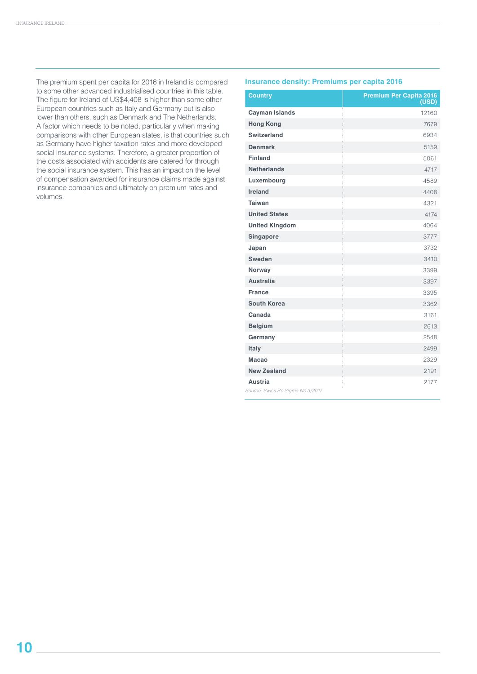The premium spent per capita for 2016 in Ireland is compared to some other advanced industrialised countries in this table. The figure for Ireland of US\$4,408 is higher than some other European countries such as Italy and Germany but is also lower than others, such as Denmark and The Netherlands. A factor which needs to be noted, particularly when making comparisons with other European states, is that countries such as Germany have higher taxation rates and more developed social insurance systems. Therefore, a greater proportion of the costs associated with accidents are catered for through the social insurance system. This has an impact on the level of compensation awarded for insurance claims made against insurance companies and ultimately on premium rates and volumes.

#### **Insurance density: Premiums per capita 2016**

| <b>Country</b>                                     | <b>Premium Per Capita 2016</b><br>(USD) |
|----------------------------------------------------|-----------------------------------------|
| <b>Cayman Islands</b>                              | 12160                                   |
| <b>Hong Kong</b>                                   | 7679                                    |
| <b>Switzerland</b>                                 | 6934                                    |
| <b>Denmark</b>                                     | 5159                                    |
| <b>Finland</b>                                     | 5061                                    |
| <b>Netherlands</b>                                 | 4717                                    |
| Luxembourg                                         | 4589                                    |
| Ireland                                            | 4408                                    |
| <b>Taiwan</b>                                      | 4321                                    |
| <b>United States</b>                               | 4174                                    |
| <b>United Kingdom</b>                              | 4064                                    |
| Singapore                                          | 3777                                    |
| Japan                                              | 3732                                    |
| <b>Sweden</b>                                      | 3410                                    |
| Norway                                             | 3399                                    |
| <b>Australia</b>                                   | 3397                                    |
| <b>France</b>                                      | 3395                                    |
| <b>South Korea</b>                                 | 3362                                    |
| Canada                                             | 3161                                    |
| <b>Belgium</b>                                     | 2613                                    |
| Germany                                            | 2548                                    |
| Italy                                              | 2499                                    |
| <b>Macao</b>                                       | 2329                                    |
| <b>New Zealand</b>                                 | 2191                                    |
| <b>Austria</b><br>Source: Swiss Re Sigma No 3/2017 | 2177                                    |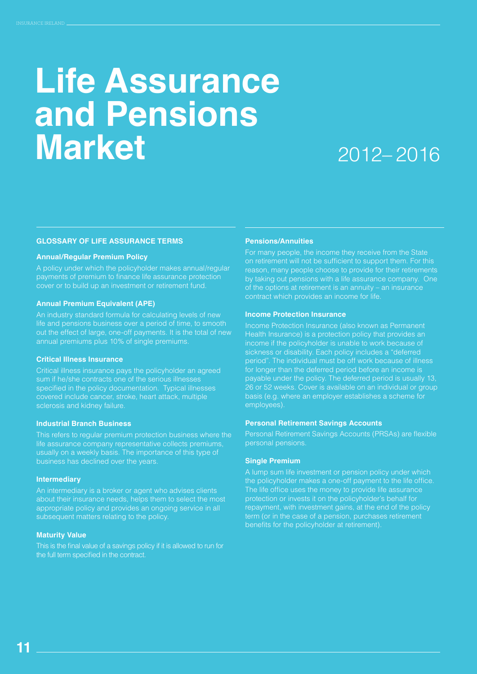### **Life Assurance and Pensions Market**

### 2012– 2016

#### **GLOSSARY OF LIFE ASSURANCE TERMS**

#### **Annual/Regular Premium Policy**

A policy under which the policyholder makes annual/regular payments of premium to finance life assurance protection cover or to build up an investment or retirement fund.

#### **Annual Premium Equivalent (APE)**

An industry standard formula for calculating levels of new life and pensions business over a period of time, to smooth out the effect of large, one-off payments. It is the total of new annual premiums plus 10% of single premiums.

#### **Critical Illness Insurance**

Critical illness insurance pays the policyholder an agreed sum if he/she contracts one of the serious illnesses specified in the policy documentation. Typical illnesses covered include cancer, stroke, heart attack, multiple sclerosis and kidney failure.

#### **Industrial Branch Business**

This refers to regular premium protection business where the life assurance company representative collects premiums, usually on a weekly basis. The importance of this type of business has declined over the years.

#### **Intermediary**

An intermediary is a broker or agent who advises clients about their insurance needs, helps them to select the most appropriate policy and provides an ongoing service in all subsequent matters relating to the policy.

#### **Maturity Value**

This is the final value of a savings policy if it is allowed to run for the full term specified in the contract.

#### **Pensions/Annuities**

For many people, the income they receive from the State on retirement will not be sufficient to support them. For this reason, many people choose to provide for their retirements by taking out pensions with a life assurance company. One of the options at retirement is an annuity – an insurance contract which provides an income for life.

#### **Income Protection Insurance**

Income Protection Insurance (also known as Permanent Health Insurance) is a protection policy that provides an income if the policyholder is unable to work because of sickness or disability. Each policy includes a "deferred period". The individual must be off work because of illness for longer than the deferred period before an income is payable under the policy. The deferred period is usually 13, 26 or 52 weeks. Cover is available on an individual or group basis (e.g. where an employer establishes a scheme for employees).

#### **Personal Retirement Savings Accounts**

Personal Retirement Savings Accounts (PRSAs) are flexible personal pensions.

#### **Single Premium**

A lump sum life investment or pension policy under which the policyholder makes a one-off payment to the life office. The life office uses the money to provide life assurance protection or invests it on the policyholder's behalf for repayment, with investment gains, at the end of the policy term (or in the case of a pension, purchases retirement benefits for the policyholder at retirement).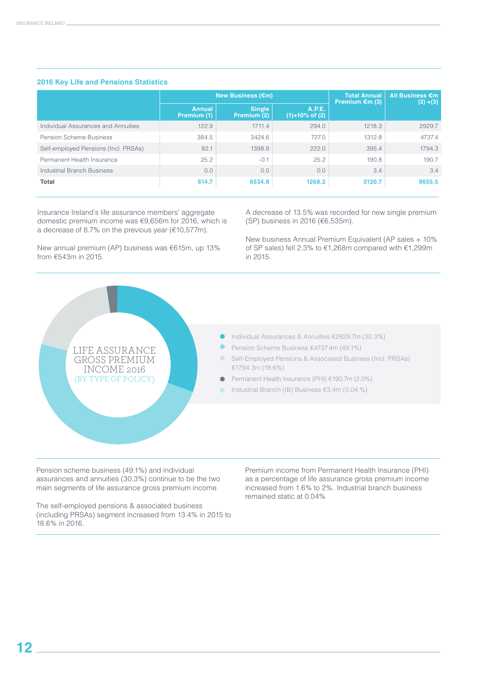#### **2016 Key Life and Pensions Statistics**

|                                      | New Business (€m)     |                              |                                 | <b>Total Annual</b><br>Premium $\epsilon$ m (3) | <b>All Business €m</b><br>$(2) + (3)$ |
|--------------------------------------|-----------------------|------------------------------|---------------------------------|-------------------------------------------------|---------------------------------------|
|                                      | Annual<br>Premium (1) | <b>Single</b><br>Premium (2) | A.P.E.<br>$(1) + 10\%$ of $(2)$ |                                                 |                                       |
| Individual Assurances and Annuities  | 122.9                 | 1711.4                       | 294.0                           | 1218.3                                          | 2929.7                                |
| Pension Scheme Business              | 384.5                 | 3424.6                       | 727.0                           | 1312.8                                          | 4737.4                                |
| Self-employed Pensions (Incl. PRSAs) | 82.1                  | 1398.9                       | 222.0                           | 395.4                                           | 1794.3                                |
| Permanent Health Insurance           | 25.2                  | $-0.1$                       | 25.2                            | 190.8                                           | 190.7                                 |
| <b>Industrial Branch Business</b>    | 0.0                   | 0.0                          | 0.0                             | 3.4                                             | 34                                    |
| <b>Total</b>                         | 614.7                 | 6534.8                       | 1268.2                          | 3120.7                                          | 9655.5                                |

Insurance Ireland's life assurance members' aggregate domestic premium income was €9,656m for 2016, which is a decrease of 8.7% on the previous year (€10,577m).

New annual premium (AP) business was €615m, up 13% from €543m in 2015.

A decrease of 13.5% was recorded for new single premium (SP) business in 2016 (€6,535m).

New business Annual Premium Equivalent (AP sales + 10% of SP sales) fell 2.3% to €1,268m compared with €1,299m in 2015.



Pension scheme business (49.1%) and individual assurances and annuities (30.3%) continue to be the two main segments of life assurance gross premium income.

The self-employed pensions & associated business (including PRSAs) segment increased from 13.4% in 2015 to 18.6% in 2016.

Premium income from Permanent Health Insurance (PHI) as a percentage of life assurance gross premium income increased from 1.6% to 2%. Industrial branch business remained static at 0.04%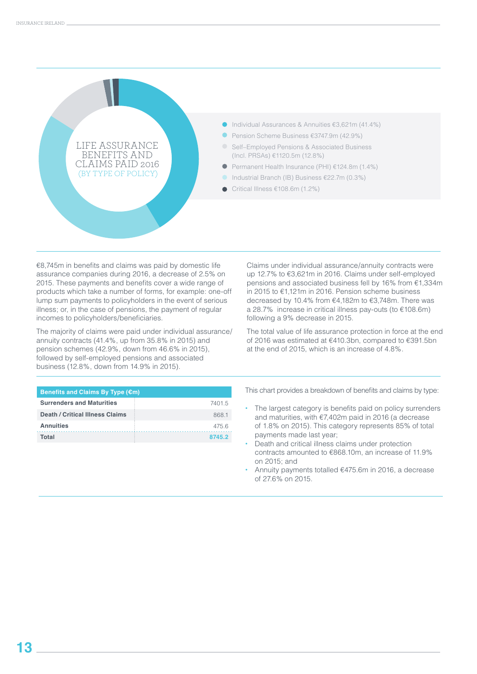

€8,745m in benefits and claims was paid by domestic life assurance companies during 2016, a decrease of 2.5% on 2015. These payments and benefits cover a wide range of products which take a number of forms, for example: one-off lump sum payments to policyholders in the event of serious illness; or, in the case of pensions, the payment of regular incomes to policyholders/beneficiaries.

The majority of claims were paid under individual assurance/ annuity contracts (41.4%, up from 35.8% in 2015) and pension schemes (42.9%, down from 46.6% in 2015), followed by self-employed pensions and associated business (12.8%, down from 14.9% in 2015).

#### **Benefits and Claims By Type (€m)**

| <b>Surrenders and Maturities</b> | 7401.5 |
|----------------------------------|--------|
| Death / Critical Illness Claims  | 8681   |
| <b>Annuities</b>                 | 4756   |
| Total                            | 8745.2 |

Claims under individual assurance/annuity contracts were up 12.7% to €3,621m in 2016. Claims under self-employed pensions and associated business fell by 16% from €1,334m in 2015 to €1,121m in 2016. Pension scheme business decreased by 10.4% from €4,182m to €3,748m. There was a 28.7% increase in critical illness pay-outs (to €108.6m) following a 9% decrease in 2015.

The total value of life assurance protection in force at the end of 2016 was estimated at €410.3bn, compared to €391.5bn at the end of 2015, which is an increase of 4.8%.

This chart provides a breakdown of benefits and claims by type:

- **•** The largest category is benefits paid on policy surrenders and maturities, with €7,402m paid in 2016 (a decrease of 1.8% on 2015). This category represents 85% of total payments made last year;
- **•** Death and critical illness claims under protection contracts amounted to €868.10m, an increase of 11.9% on 2015; and
- **•** Annuity payments totalled €475.6m in 2016, a decrease of 27.6% on 2015.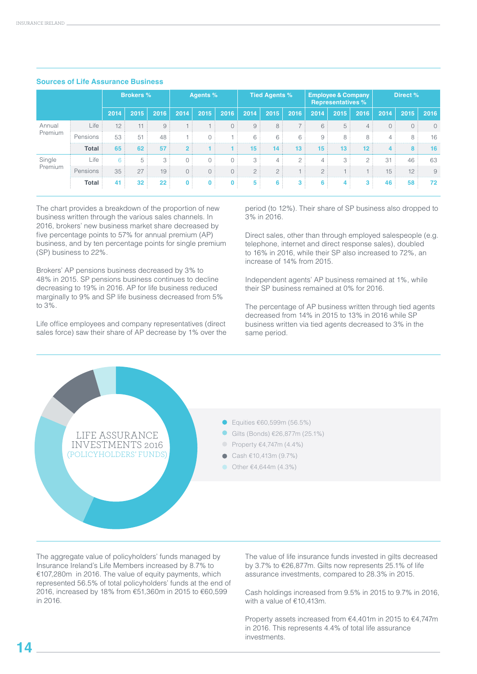|         |              |                | <b>Brokers %</b> |                 |                | Agents %     |              |              | <b>Tied Agents %</b> |                |      | <b>Employee &amp; Company</b><br><b>Representatives %</b> |                |                | Direct % |          |
|---------|--------------|----------------|------------------|-----------------|----------------|--------------|--------------|--------------|----------------------|----------------|------|-----------------------------------------------------------|----------------|----------------|----------|----------|
|         |              | 2014           | 2015             | 2016            | 2014           | 2015         | 2016         | 2014         | 2015                 | 2016           | 2014 | 2015                                                      | 2016           | 2014           | 2015     | 2016     |
| Annual  | Life         | 12             | 11               | 9               |                |              | 0:           | 9            | 8                    | ΠD,            | 6:   | 5:                                                        | 4:             | 0:             | 0:       | $\Omega$ |
| Premium | Pensions     | 53             | 51               | 48              |                | 0:           |              | 6            | 6                    | 6              | 9    | 8:                                                        | 8              | 4:             | 8        | 16       |
|         | <b>Total</b> | 65             | 62               | 57              | 2 <sup>1</sup> |              |              | 15<br>$\sim$ | 14                   | 13             | 15   | 13                                                        | $12 \,$        | 4 <sup>1</sup> | 8        | 16       |
| Single  | Life         | 6 <sup>3</sup> |                  | 3:              | $\Omega$       | 0:           | $\Omega$     | 3            | $\Delta$             | $\circ$ :      |      | 3                                                         | $2$ .          | 31             | 46       | 63       |
| Premium | Pensions     | 35             | 27               | 19              | 0:             | 0:           | 0:           | 2:           | 2:                   |                | 2:   |                                                           | n.             | 15:            | 12:      | 9        |
|         | Total        | 41             | 32               | 22 <sub>2</sub> | $\mathbf{0}$   | $\mathbf{0}$ | $\mathbf{0}$ | 5            | 6                    | 3 <sup>1</sup> | 6    | 4 <sup>1</sup>                                            | 3 <sup>1</sup> | 46             | 58       | 72       |

#### **Sources of Life Assurance Business**

The chart provides a breakdown of the proportion of new business written through the various sales channels. In 2016, brokers' new business market share decreased by five percentage points to 57% for annual premium (AP) business, and by ten percentage points for single premium (SP) business to 22%.

Brokers' AP pensions business decreased by 3% to 48% in 2015. SP pensions business continues to decline decreasing to 19% in 2016. AP for life business reduced marginally to 9% and SP life business decreased from 5% to 3%.

Life office employees and company representatives (direct sales force) saw their share of AP decrease by 1% over the

period (to 12%). Their share of SP business also dropped to 3% in 2016.

Direct sales, other than through employed salespeople (e.g. telephone, internet and direct response sales), doubled to 16% in 2016, while their SP also increased to 72%, an increase of 14% from 2015.

Independent agents' AP business remained at 1%, while their SP business remained at 0% for 2016.

The percentage of AP business written through tied agents decreased from 14% in 2015 to 13% in 2016 while SP business written via tied agents decreased to 3% in the same period.



The aggregate value of policyholders' funds managed by Insurance Ireland's Life Members increased by 8.7% to €107,280m in 2016. The value of equity payments, which represented 56.5% of total policyholders' funds at the end of 2016, increased by 18% from €51,360m in 2015 to €60,599 in 2016.

The value of life insurance funds invested in gilts decreased by 3.7% to €26,877m. Gilts now represents 25.1% of life assurance investments, compared to 28.3% in 2015.

Cash holdings increased from 9.5% in 2015 to 9.7% in 2016, with a value of €10,413m.

Property assets increased from €4,401m in 2015 to €4,747m in 2016. This represents 4.4% of total life assurance investments.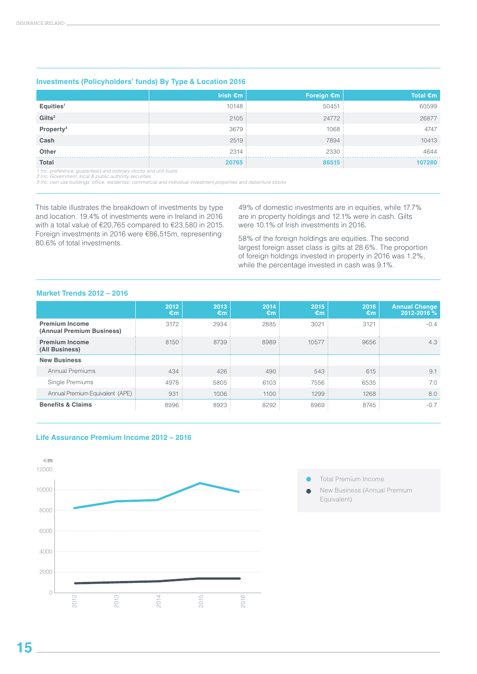#### **Investments (Policyholders' funds) By Type & Location 2016**

|                       | Irish $\epsilon$ m | Foreign $\epsilon$ m | Total $\epsilon$ m |
|-----------------------|--------------------|----------------------|--------------------|
| Equities <sup>1</sup> | 10148:             | 50451                | 60599              |
| Gilts <sup>2</sup>    | 2105:              | 24772 :              | 26877              |
| Property <sup>3</sup> | 3679               | 1068                 | 4747               |
| Cash                  | 2519:              | 7894                 | 10413              |
| <b>Other</b>          | 2314:              | 2330                 | 4644               |
| <b>Total</b>          | 20765              | 86515                | 107280             |

1 Inc. preference, guaranteed and ordinary stocks and unit trusts<br>2 Inc. Government, local & public authority securities<br>3 Inc. own use buildings, office, residential, commercial and individual investment properties and de

This table illustrates the breakdown of investments by type and location. 19.4% of investments were in Ireland in 2016 with a total value of €20,765 compared to €23,580 in 2015. Foreign investments in 2016 were €86,515m, representing 80.6% of total investments.

49% of domestic investments are in equities, while 17.7% are in property holdings and 12.1% were in cash. Gilts were 10.1% of Irish investments in 2016.

58% of the foreign holdings are equities. The second largest foreign asset class is gilts at 28.6%. The proportion of foreign holdings invested in property in 2016 was 1.2%, while the percentage invested in cash was 9.1%.

#### **Market Trends 2012 – 2016**

|                                                    | 2012<br>€m | 2013<br>€m | 2014<br>€m | 2015<br>€m | 2016<br>€m | <b>Annual Change</b><br>2012-2016 % |
|----------------------------------------------------|------------|------------|------------|------------|------------|-------------------------------------|
| <b>Premium Income</b><br>(Annual Premium Business) | 3172       | 2934       | 2885       | 3021       | 3121       | $-0.4$                              |
| <b>Premium Income</b><br>(All Business)            | 8150       | 8739       | 8989       | 10577      | 9656       | 4.3                                 |
| <b>New Business</b>                                |            |            |            |            |            |                                     |
| <b>Annual Premiums</b>                             | 434        | 426        | 490        | 543        | 615        | 9.1                                 |
| Single Premiums                                    | 4978       | 5805       | 6103       | 7556       | 6535       | 7.0                                 |
| Annual Premium Equivalent (APE)                    | 931        | 1006       | 1100       | 1299       | 1268       | 8.0                                 |
| <b>Benefits &amp; Claims</b>                       | 8996       | 8923       | 8292       | 8969       | 8745       | $-0.7$                              |





- Total Premium Income
- New Business (Annual Premium Equivalent)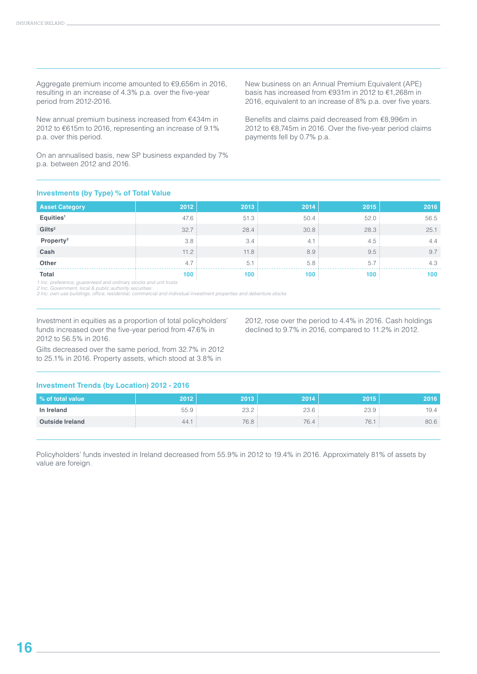Aggregate premium income amounted to €9,656m in 2016, resulting in an increase of 4.3% p.a. over the five-year period from 2012-2016.

New annual premium business increased from €434m in 2012 to €615m to 2016, representing an increase of 9.1% p.a. over this period.

On an annualised basis, new SP business expanded by 7% p.a. between 2012 and 2016.

New business on an Annual Premium Equivalent (APE) basis has increased from €931m in 2012 to €1,268m in 2016, equivalent to an increase of 8% p.a. over five years.

Benefits and claims paid decreased from €8,996m in 2012 to €8,745m in 2016. Over the five-year period claims payments fell by 0.7% p.a.

2012, rose over the period to 4.4% in 2016. Cash holdings declined to 9.7% in 2016, compared to 11.2% in 2012.

#### **Investments (by Type) % of Total Value**

| <b>Asset Category</b> | 2012 | 2013  | 2014 | 2015 | 2016 |
|-----------------------|------|-------|------|------|------|
| Equities <sup>1</sup> | 47.6 | 51.3  | 50.4 | 52.0 | 56.5 |
| Gilts <sup>2</sup>    | 32.7 | 28.4  | 30.8 | 28.3 | 25.1 |
| Property <sup>3</sup> | 3.8  | 3.4   | 4.1  | 4.5  | 4.4  |
| Cash                  | 11.2 | 11.8: | 8.9  | 9.5  | 9.7  |
| Other                 | 4.7  | 5.1   | 5.8  | 5.7  | 4.3  |
| <b>Total</b>          | 100  | 100   | 100  | 100  | 100  |

*1 Inc. preference, guaranteed and ordinary stocks and unit trusts 2 Inc. Government, local & public authority securities* 

*3 Inc. own use buildings, office, residential, commercial and individual investment properties and debenture stocks*

Investment in equities as a proportion of total policyholders' funds increased over the five-year period from 47.6% in 2012 to 56.5% in 2016.

Gilts decreased over the same period, from 32.7% in 2012

to 25.1% in 2016. Property assets, which stood at 3.8% in

#### **Investment Trends (by Location) 2012 - 2016**

| % of total value       | 2012 | 2013   | 2014 | 2015 | 2016 |
|------------------------|------|--------|------|------|------|
| In Ireland             | 55.9 | $\cap$ | 23.6 | 23.9 | 19.4 |
| <b>Outside Ireland</b> | 44.  | 76.8.  | 76.4 | 76.  | 80.6 |

Policyholders' funds invested in Ireland decreased from 55.9% in 2012 to 19.4% in 2016. Approximately 81% of assets by value are foreign.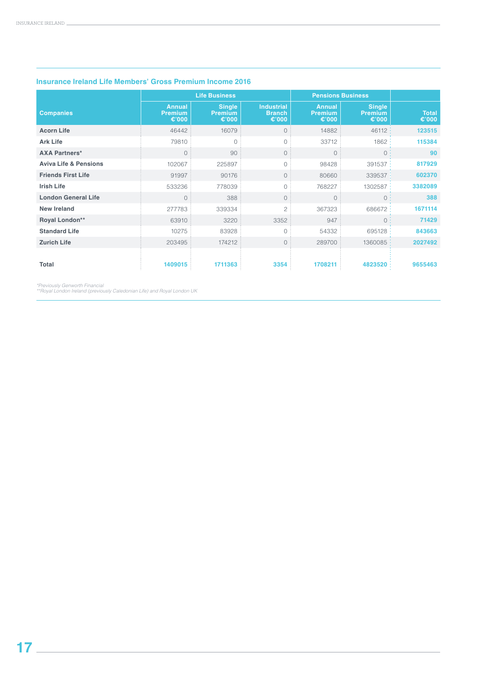|                                  |                                                    | <b>Life Business</b>                               |                                                       | <b>Pensions Business</b>                           |                                                    |                       |
|----------------------------------|----------------------------------------------------|----------------------------------------------------|-------------------------------------------------------|----------------------------------------------------|----------------------------------------------------|-----------------------|
| <b>Companies</b>                 | <b>Annual</b><br><b>Premium</b><br>€ $^{\circ}000$ | <b>Single</b><br><b>Premium</b><br>€ $^{\circ}000$ | <b>Industrial</b><br><b>Branch</b><br>€ $^{\circ}000$ | <b>Annual</b><br><b>Premium</b><br>€ $^{\circ}000$ | <b>Single</b><br><b>Premium</b><br>€ $^{\circ}000$ | <b>Total</b><br>€'000 |
| <b>Acorn Life</b>                | 46442                                              | 16079                                              | $\circ$                                               | 14882                                              | 46112:                                             | 123515                |
| <b>Ark Life</b>                  | 79810                                              | $\Omega$                                           | $\circ$                                               | 33712                                              | 1862:                                              | 115384                |
| <b>AXA Partners*</b>             | $\overline{0}$                                     | 90                                                 | $\circ$                                               | $\circ$                                            | $\circ$                                            | 90                    |
| <b>Aviva Life &amp; Pensions</b> | 102067                                             | 225897                                             | $\circ$                                               | 98428                                              | 391537 :                                           | 817929                |
| <b>Friends First Life</b>        | 91997                                              | 90176                                              | $\circ$                                               | 80660                                              | 339537:                                            | 602370                |
| <b>Irish Life</b>                | 533236                                             | 778039                                             | $\circ$                                               | 768227                                             | 1302587 :                                          | 3382089               |
| <b>London General Life</b>       | $\overline{0}$                                     | 388                                                | $\circ$                                               | $\circ$                                            | $\circ$                                            | 388                   |
| <b>New Ireland</b>               | 277783                                             | 339334                                             | $\overline{c}$                                        | 367323                                             | 686672                                             | 1671114               |
| Royal London**                   | 63910                                              | 3220                                               | 3352                                                  | 947                                                | $\Omega$                                           | 71429                 |
| <b>Standard Life</b>             | 10275                                              | 83928                                              | $\circ$                                               | 54332                                              | 695128:                                            | 843663                |
| <b>Zurich Life</b>               | 203495                                             | 174212                                             | $\circ$                                               | 289700                                             | 1360085.                                           | 2027492               |
| Total                            | 1409015                                            | 1711363                                            | 3354                                                  | 1708211                                            | 4823520                                            | 9655463               |

#### **Insurance Ireland Life Members' Gross Premium Income 2016**

*\*Previously Genworth Financial \*\*Royal London Ireland (previously Caledonian Life) and Royal London UK*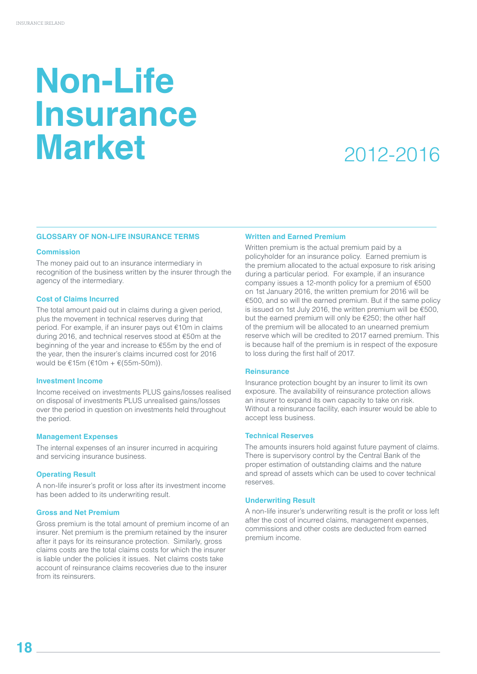### **Non-Life Insurance Market**

### 2012-2016

#### **GLOSSARY OF NON-LIFE INSURANCE TERMS**

#### **Commission**

The money paid out to an insurance intermediary in recognition of the business written by the insurer through the agency of the intermediary.

#### **Cost of Claims Incurred**

The total amount paid out in claims during a given period, plus the movement in technical reserves during that period. For example, if an insurer pays out €10m in claims during 2016, and technical reserves stood at €50m at the beginning of the year and increase to €55m by the end of the year, then the insurer's claims incurred cost for 2016 would be €15m (€10m + €(55m-50m)).

#### **Investment Income**

Income received on investments PLUS gains/losses realised on disposal of investments PLUS unrealised gains/losses over the period in question on investments held throughout the period.

#### **Management Expenses**

The internal expenses of an insurer incurred in acquiring and servicing insurance business.

#### **Operating Result**

A non-life insurer's profit or loss after its investment income has been added to its underwriting result.

#### **Gross and Net Premium**

Gross premium is the total amount of premium income of an insurer. Net premium is the premium retained by the insurer after it pays for its reinsurance protection. Similarly, gross claims costs are the total claims costs for which the insurer is liable under the policies it issues. Net claims costs take account of reinsurance claims recoveries due to the insurer from ite roinsurers.

#### **Written and Earned Premium**

Written premium is the actual premium paid by a policyholder for an insurance policy. Earned premium is the premium allocated to the actual exposure to risk arising during a particular period. For example, if an insurance company issues a 12-month policy for a premium of €500 on 1st January 2016, the written premium for 2016 will be €500, and so will the earned premium. But if the same policy is issued on 1st July 2016, the written premium will be €500, but the earned premium will only be €250; the other half of the premium will be allocated to an unearned premium reserve which will be credited to 2017 earned premium. This is because half of the premium is in respect of the exposure to loss during the first half of 2017.

#### **Reinsurance**

Insurance protection bought by an insurer to limit its own exposure. The availability of reinsurance protection allows an insurer to expand its own capacity to take on risk. Without a reinsurance facility, each insurer would be able to accept less business.

#### **Technical Reserves**

The amounts insurers hold against future payment of claims. There is supervisory control by the Central Bank of the proper estimation of outstanding claims and the nature and spread of assets which can be used to cover technical reserves.

#### **Underwriting Result**

A non-life insurer's underwriting result is the profit or loss left after the cost of incurred claims, management expenses, commissions and other costs are deducted from earned premium income.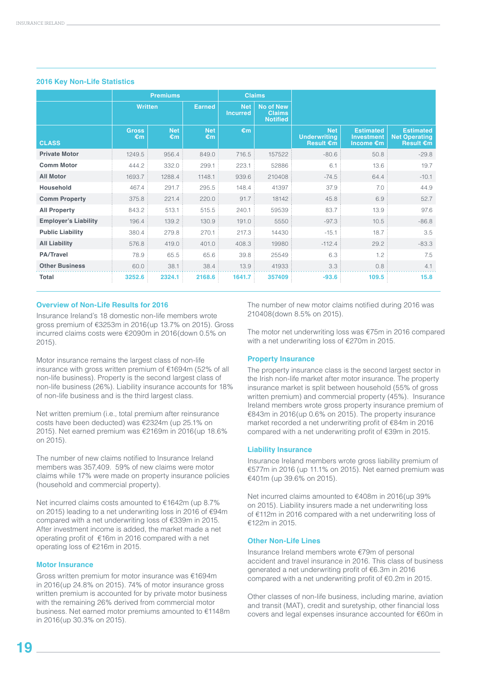|                             | <b>Premiums</b>    |                  |                  |                        | <b>Claims</b>                                        |                                                       |                                                    |                                                              |
|-----------------------------|--------------------|------------------|------------------|------------------------|------------------------------------------------------|-------------------------------------------------------|----------------------------------------------------|--------------------------------------------------------------|
|                             | <b>Written</b>     |                  | <b>Earned</b>    | <b>Net</b><br>Incurred | <b>No of New</b><br><b>Claims</b><br><b>Notified</b> |                                                       |                                                    |                                                              |
| <b>CLASS</b>                | <b>Gross</b><br>€m | <b>Net</b><br>€m | <b>Net</b><br>€m | €m                     |                                                      | <b>Net</b><br><b>Underwriting</b><br><b>Result €m</b> | <b>Estimated</b><br><b>Investment</b><br>Income €m | <b>Estimated</b><br><b>Net Operating</b><br><b>Result €m</b> |
| <b>Private Motor</b>        | 1249.5             | 956.4            | 849.0            | 716.5                  | 157522                                               | $-80.6$                                               | 50.8                                               | $-29.8$                                                      |
| <b>Comm Motor</b>           | 444.2              | 332.0            | 299.1            | 223.1                  | 52886                                                | 6.1                                                   | 13.6                                               | 19.7                                                         |
| <b>All Motor</b>            | 1693.7             | 1288.4           | 1148.1           | 939.6                  | 210408                                               | $-74.5$                                               | 64.4                                               | $-10.1$                                                      |
| <b>Household</b>            | 467.4              | 291.7            | 295.5            | 148.4                  | 41397                                                | 37.9                                                  | 7.0                                                | 44.9                                                         |
| <b>Comm Property</b>        | 375.8              | 221.4            | 220.0            | 91.7                   | 18142                                                | 45.8                                                  | 6.9                                                | 52.7                                                         |
| <b>All Property</b>         | 843.2              | 513.1            | 515.5            | 240.1                  | 59539                                                | 83.7                                                  | 13.9                                               | 97.6                                                         |
| <b>Employer's Liability</b> | 196.4              | 139.2            | 130.9            | 191.0                  | 5550                                                 | $-97.3$                                               | 10.5                                               | $-86.8$                                                      |
| <b>Public Liability</b>     | 380.4              | 279.8            | 270.1            | 217.3                  | 14430                                                | $-15.1$                                               | 18.7                                               | 3.5                                                          |
| <b>All Liability</b>        | 576.8              | 419.0            | 401.0            | 408.3                  | 19980                                                | $-112.4$                                              | 29.2                                               | $-83.3$                                                      |
| <b>PA/Travel</b>            | 78.9               | 65.5             | 65.6             | 39.8                   | 25549                                                | 6.3                                                   | 1.2                                                | 7.5                                                          |
| <b>Other Business</b>       | 60.0               | 38.1             | 38.4             | 13.9                   | 41933                                                | 3.3                                                   | 0.8                                                | 4.1                                                          |
| Total                       | 3252.6             | 2324.1           | 2168.6           | 1641.7                 | 357409                                               | $-93.6$                                               | 109.5                                              | 15.8                                                         |

#### **2016 Key Non-Life Statistics**

#### **Overview of Non-Life Results for 2016**

Insurance Ireland's 18 domestic non-life members wrote gross premium of €3253m in 2016(up 13.7% on 2015). Gross incurred claims costs were €2090m in 2016(down 0.5% on 2015).

Motor insurance remains the largest class of non-life insurance with gross written premium of €1694m (52% of all non-life business). Property is the second largest class of non-life business (26%). Liability insurance accounts for 18% of non-life business and is the third largest class.

Net written premium (i.e., total premium after reinsurance costs have been deducted) was €2324m (up 25.1% on 2015). Net earned premium was €2169m in 2016(up 18.6% on 2015).

The number of new claims notified to Insurance Ireland members was 357,409. 59% of new claims were motor claims while 17% were made on property insurance policies (household and commercial property).

Net incurred claims costs amounted to €1642m (up 8.7% on 2015) leading to a net underwriting loss in 2016 of €94m compared with a net underwriting loss of €339m in 2015. After investment income is added, the market made a net operating profit of €16m in 2016 compared with a net operating loss of €216m in 2015.

#### **Motor Insurance**

Gross written premium for motor insurance was €1694m in 2016(up 24.8% on 2015). 74% of motor insurance gross written premium is accounted for by private motor business with the remaining 26% derived from commercial motor business. Net earned motor premiums amounted to €1148m in 2016(up 30.3% on 2015).

The number of new motor claims notified during 2016 was 210408(down 8.5% on 2015).

The motor net underwriting loss was €75m in 2016 compared with a net underwriting loss of €270m in 2015.

#### **Property Insurance**

The property insurance class is the second largest sector in the Irish non-life market after motor insurance. The property insurance market is split between household (55% of gross written premium) and commercial property (45%). Insurance Ireland members wrote gross property insurance premium of €843m in 2016(up 0.6% on 2015). The property insurance market recorded a net underwriting profit of €84m in 2016 compared with a net underwriting profit of €39m in 2015.

#### **Liability Insurance**

Insurance Ireland members wrote gross liability premium of €577m in 2016 (up 11.1% on 2015). Net earned premium was €401m (up 39.6% on 2015).

Net incurred claims amounted to €408m in 2016(up 39% on 2015). Liability insurers made a net underwriting loss of €112m in 2016 compared with a net underwriting loss of €122m in 2015.

#### **Other Non-Life Lines**

Insurance Ireland members wrote €79m of personal accident and travel insurance in 2016. This class of business generated a net underwriting profit of €6.3m in 2016 compared with a net underwriting profit of €0.2m in 2015.

Other classes of non-life business, including marine, aviation and transit (MAT), credit and suretyship, other financial loss covers and legal expenses insurance accounted for €60m in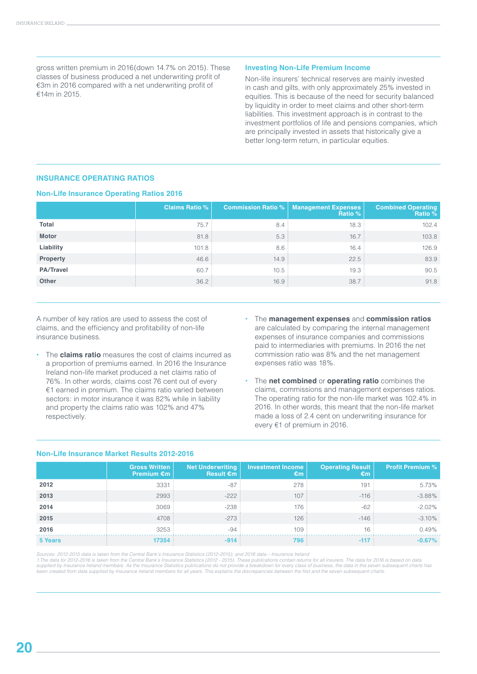gross written premium in 2016(down 14.7% on 2015). These classes of business produced a net underwriting profit of €3m in 2016 compared with a net underwriting profit of €14m in 2015.

#### **Investing Non-Life Premium Income**

Non-life insurers' technical reserves are mainly invested in cash and gilts, with only approximately 25% invested in equities. This is because of the need for security balanced by liquidity in order to meet claims and other short-term liabilities. This investment approach is in contrast to the investment portfolios of life and pensions companies, which are principally invested in assets that historically give a better long-term return, in particular equities.

#### **INSURANCE OPERATING RATIOS**

#### **Non-Life Insurance Operating Ratios 2016**

|                  | <b>Claims Ratio %</b> | <b>Commission Ratio %</b> | <b>Management Expenses</b><br><b>Ratio %</b> | <b>Combined Operating</b><br>Ratio % |
|------------------|-----------------------|---------------------------|----------------------------------------------|--------------------------------------|
| Total            | 75.7                  | 8.4                       | 18.3                                         | 102.4                                |
| <b>Motor</b>     | 81.8                  | 5.3                       | 16.7                                         | 103.8                                |
| Liability        | 101.8                 | 8.6                       | 16.4                                         | 126.9                                |
| <b>Property</b>  | 46.6:                 | 14.9                      | 22.5                                         | 83.9                                 |
| <b>PA/Travel</b> | 60.7                  | 10.5                      | 19.3                                         | 90.5                                 |
| Other            | 36.2:                 | 16.9                      | 38.7                                         | 91.8                                 |

A number of key ratios are used to assess the cost of claims, and the efficiency and profitability of non-life insurance business.

- **•** The **claims ratio** measures the cost of claims incurred as a proportion of premiums earned. In 2016 the Insurance Ireland non-life market produced a net claims ratio of 76%. In other words, claims cost 76 cent out of every €1 earned in premium. The claims ratio varied between sectors: in motor insurance it was 82% while in liability and property the claims ratio was 102% and 47% respectively.
- **•** The **management expenses** and **commission ratios** are calculated by comparing the internal management expenses of insurance companies and commissions paid to intermediaries with premiums. In 2016 the net commission ratio was 8% and the net management expenses ratio was 18%.
- **•** The **net combined** or **operating ratio** combines the claims, commissions and management expenses ratios. The operating ratio for the non-life market was 102.4% in 2016. In other words, this meant that the non-life market made a loss of 2.4 cent on underwriting insurance for every €1 of premium in 2016.

|         | <b>Gross Written</b><br>Premium $\epsilon$ m | <b>Net Underwriting</b><br>Result $\epsilon$ m | <b>Investment Income</b><br>€m | <b>Operating Result</b><br>€m | <b>Profit Premium %</b> |
|---------|----------------------------------------------|------------------------------------------------|--------------------------------|-------------------------------|-------------------------|
| 2012    | 3331                                         | $-87$                                          | 278                            | $19 -$                        | 5.73%                   |
| 2013    | 2993                                         | $-222:$                                        | 107                            | $-116$                        | $-3.88%$                |
| 2014    | 3069                                         | $-238$                                         | 176                            | $-62$                         | $-2.02%$                |
| 2015    | 4708                                         | $-273$                                         | 126                            | $-146$                        | $-3.10%$                |
| 2016    | 3253                                         | $-94$                                          | 109                            | 16                            | 0.49%                   |
| 5 Years | 17354                                        | $-914$                                         | 796                            | $-117$                        | $-0.67%$                |

#### **Non-Life Insurance Market Results 2012-2016**

Sources: 2012-2015 data is taken from the Central Bank's Insurance Statistics (2012-2015); and 2016 data – Insurance Ireland<br>1.The data for 2012-2016 is taken from the Central Bank's Insurance Statistics (2012 - 2015). The supplied by Insurance Ireland members. As the Insurance Statistics publications do not provide a breakdown for every class of business, the data in the seven subsequent charts has *been created from data supplied by Insurance Ireland members for all years. This explains the discrepancies between the first and the seven subsequent charts.*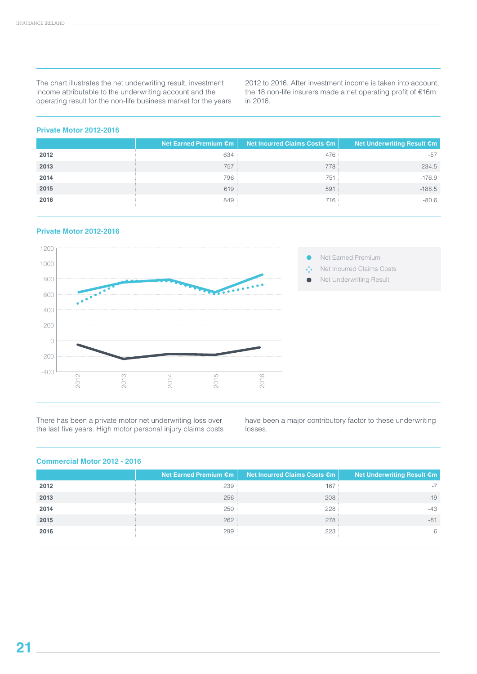The chart illustrates the net underwriting result, investment income attributable to the underwriting account and the operating result for the non-life business market for the years 2012 to 2016. After investment income is taken into account, the 18 non-life insurers made a net operating profit of €16m in 2016.

#### **Private Motor 2012-2016**

|      | Net Earned Premium €m | Net Incurred Claims Costs €m | Net Underwriting Result €m |
|------|-----------------------|------------------------------|----------------------------|
| 2012 | 634                   | 476                          | $-57$                      |
| 2013 | 757                   | 778                          | $-234.5$                   |
| 2014 | 796                   | 751                          | $-176.9$                   |
| 2015 | 619                   | 591                          | $-188.5$                   |
| 2016 | 849                   | 716                          | $-80.6$                    |

#### **Private Motor 2012-2016**



There has been a private motor net underwriting loss over the last five years. High motor personal injury claims costs have been a major contributory factor to these underwriting losses.

#### **Commercial Motor 2012 - 2016**

|      | Net Earned Premium €m | Net Incurred Claims Costs €m | <b>Net Underwriting Result €m</b> |
|------|-----------------------|------------------------------|-----------------------------------|
| 2012 | 239                   | 167                          | $-7$                              |
| 2013 | 256                   | 208                          | $-19$                             |
| 2014 | 250                   | 228                          | $-43$                             |
| 2015 | 262                   | 278                          | $-81$                             |
| 2016 | 299                   | 223                          | 6                                 |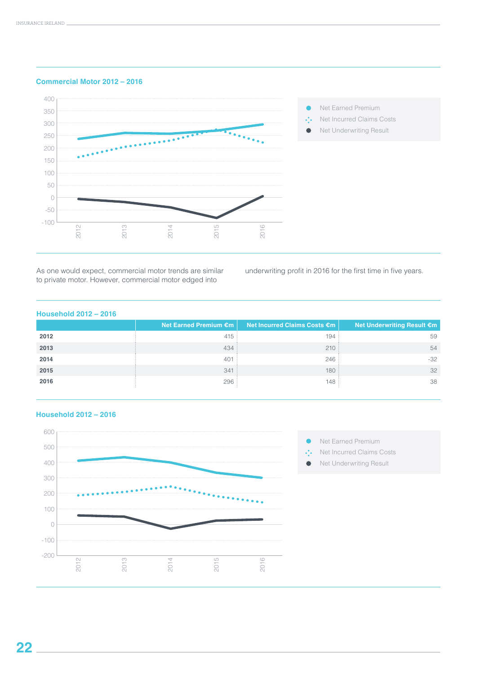

**Commercial Motor 2012 – 2016**

As one would expect, commercial motor trends are similar to private motor. However, commercial motor edged into

underwriting profit in 2016 for the first time in five years.

#### **Household 2012 – 2016**

|      | Net Earned Premium €m | Net Incurred Claims Costs €m | Net Underwriting Result €m |
|------|-----------------------|------------------------------|----------------------------|
| 2012 | 415                   | 194                          | 59                         |
| 2013 | 434                   | 210:                         | 54                         |
| 2014 | 401                   | 246                          | $-32$                      |
| 2015 | 341                   | 180:                         | 32                         |
| 2016 | 296:                  | 148                          | 38                         |



#### **Household 2012 – 2016**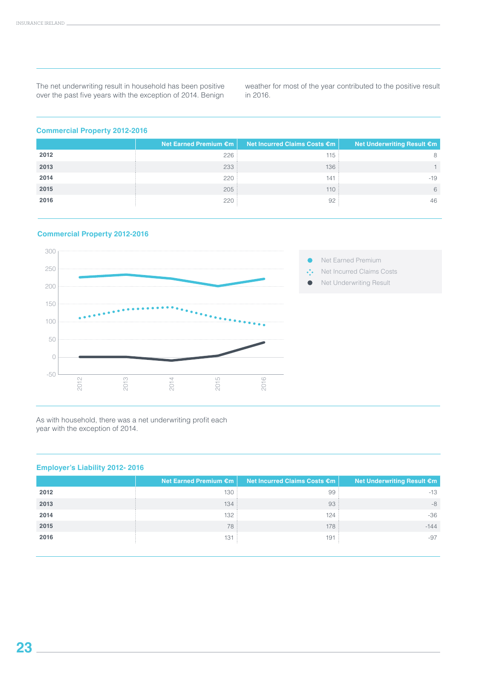The net underwriting result in household has been positive over the past five years with the exception of 2014. Benign weather for most of the year contributed to the positive result in 2016.

#### **Commercial Property 2012-2016**

|      | Net Earned Premium €m | Net Incurred Claims Costs €m | <b>Net Underwriting Result €m</b> |
|------|-----------------------|------------------------------|-----------------------------------|
| 2012 | 226                   | 115                          | 8                                 |
| 2013 | 233                   | 136:                         |                                   |
| 2014 | 220                   | 141                          | $-19$                             |
| 2015 | 205                   | 110:                         | 6                                 |
| 2016 | 220                   | 92                           | 46                                |
|      |                       |                              |                                   |

#### **Commercial Property 2012-2016**



As with household, there was a net underwriting profit each year with the exception of 2014.

#### **Employer's Liability 2012- 2016**

| Net Earned Premium €m | Net Incurred Claims Costs €m | Net Underwriting Result €m |
|-----------------------|------------------------------|----------------------------|
| 130                   | 99                           | $-13$                      |
| 134                   | 93                           | -8                         |
| 132:                  | 124                          | $-36$                      |
| 78                    | 178                          | $-144$                     |
| 131                   | 191                          | $-97$                      |
|                       |                              |                            |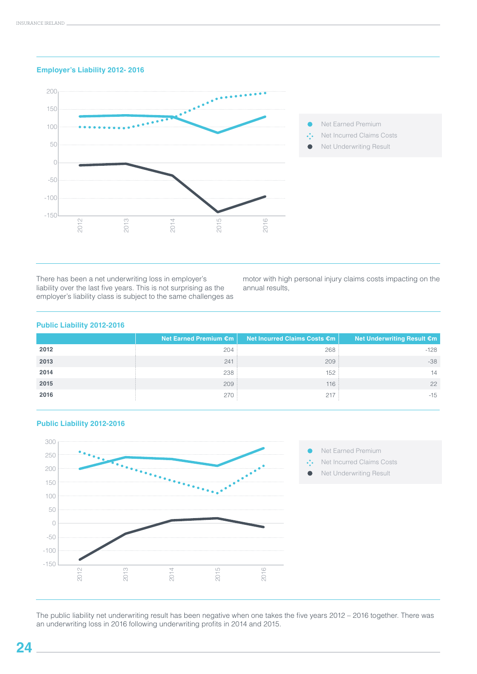#### **Employer's Liability 2012- 2016**



There has been a net underwriting loss in employer's liability over the last five years. This is not surprising as the employer's liability class is subject to the same challenges as motor with high personal injury claims costs impacting on the annual results,

#### **Public Liability 2012-2016**

|      | Net Earned Premium €m | Net Incurred Claims Costs €m | Net Underwriting Result €m |
|------|-----------------------|------------------------------|----------------------------|
| 2012 | 204                   | 268                          | $-128$                     |
| 2013 | 241                   | 209:                         | $-38$                      |
| 2014 | 238                   | 152                          | 14                         |
| 2015 | 209                   | 116:                         | 22                         |
| 2016 | 270:                  | 217                          | $-15$                      |



#### **Public Liability 2012-2016**

Net Earned Premium

Net Incurred Claims Costs

Net Underwriting Result

The public liability net underwriting result has been negative when one takes the five years 2012 – 2016 together. There was an underwriting loss in 2016 following underwriting profits in 2014 and 2015.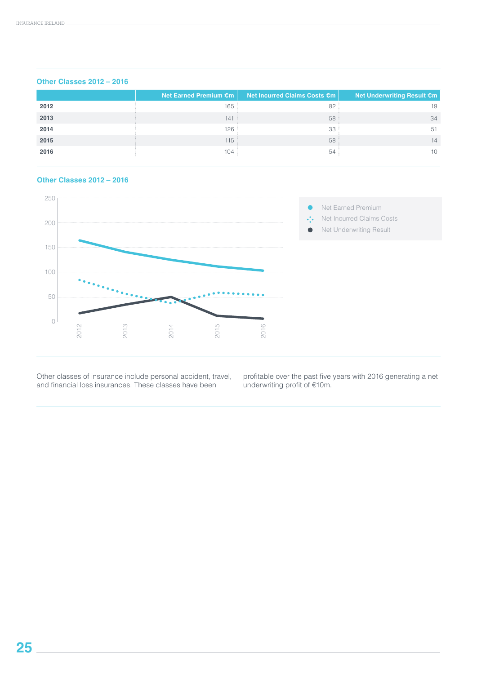|      | Net Earned Premium $\epsilon$ m | Net Incurred Claims Costs €m | Net Underwriting Result €m |
|------|---------------------------------|------------------------------|----------------------------|
| 2012 | 165:                            | 82                           | 19                         |
| 2013 | 141                             | 58                           | 34                         |
| 2014 | 126                             | 33                           | 51                         |
| 2015 | 115:                            | 58                           | 14                         |
| 2016 | 104                             | 54                           | 10                         |

#### **Other Classes 2012 – 2016**

#### **Other Classes 2012 – 2016**



Other classes of insurance include personal accident, travel, and financial loss insurances. These classes have been

profitable over the past five years with 2016 generating a net underwriting profit of €10m.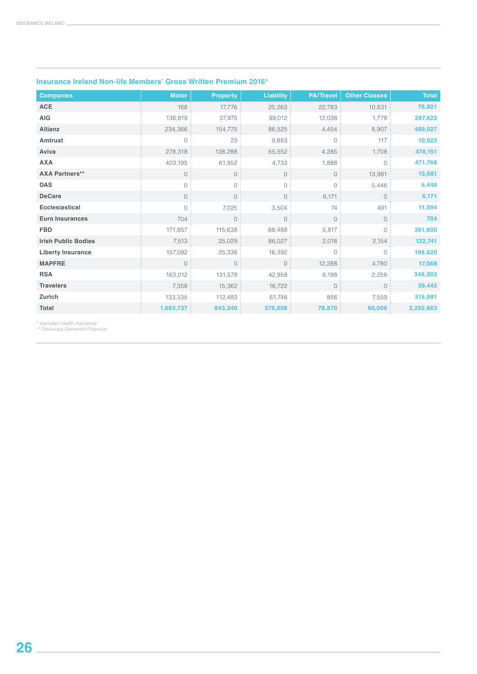| <b>Companies</b>           | <b>Motor</b>   | <b>Property</b> | <b>Liability</b>    | <b>PA/Travel</b> | <b>Other Classes</b> | <b>Total</b> |
|----------------------------|----------------|-----------------|---------------------|------------------|----------------------|--------------|
| <b>ACE</b>                 | 168            | 17,776          | 25,263              | 22,783           | 10,831               | 76,821       |
| <b>AIG</b>                 | 136,819        | 37,975          | 99,012              | 12,038           | 1,778                | 287,622      |
| <b>Allianz</b>             | 234,366        | 154,775         | 86,525              | 4,454            | 8,907                | 489,027      |
| <b>Amtrust</b>             | $\circ$        | 23              | 9,883               | $\Omega$         | 117                  | 10,023       |
| Aviva                      | 278,318        | 138,288         | 55,552              | 4,285            | 1,708                | 478,151      |
| <b>AXA</b>                 | 403,195        | 61,952          | 4,733               | 1,888            | $\circ$              | 471,768      |
| <b>AXA Partners**</b>      | $\overline{0}$ | $\circ$         | $\mathsf{O}\xspace$ | $\circ$          | 13,981               | 13,981       |
| <b>DAS</b>                 | $\circ$        | 0               | 0                   | $\circ$          | 5,446                | 5,446        |
| <b>DeCare</b>              | $\circ$        | $\circ$         | $\circ$             | 6,171            | 0:                   | 6,171        |
| <b>Ecclesiastical</b>      | $\Omega$       | 7,025           | 3,504               | 74               | 491                  | 11,094       |
| <b>Euro Insurances</b>     | 704            | $\circ$         | $\mathsf{O}$        | $\circ$          | $\circ$              | 704          |
| <b>FBD</b>                 | 171,857        | 115,638         | 68,488              | 5,817            | $\circ$              | 361,800      |
| <b>Irish Public Bodies</b> | 7,513          | 25,029          | 86,027              | 2,018            | 2,154:               | 122,741      |
| <b>Liberty Insurance</b>   | 157,092        | 25,336          | 16,392              | $\circ$          | $\circ$              | 198,820      |
| <b>MAPFRE</b>              | $\circ$        | $\circ$         | $\circ$             | 12,288           | 4,780                | 17,068       |
| <b>RSA</b>                 | 163,012        | 131,578         | 42,959              | 6,198            | 2,256                | 346,003      |
| <b>Travelers</b>           | 7,358          | 15,362          | 16,722              | $\circ$          | $\circ$              | 39,442       |
| Zurich                     | 133,335        | 112,483         | 61,748              | 856              | 7,559                | 315,981      |
| <b>Total</b>               | 1,693,737      | 843,240         | 576,808             | 78,870           | 60,008               | 3,252,663    |

#### **Insurance Ireland Non-life Members' Gross Written Premium 2016\***

*\* excludes health insurance \*\* Previously Genworth Financial*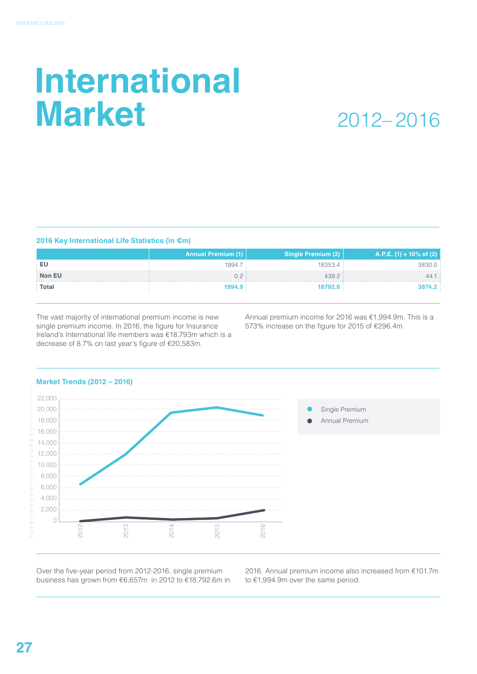## **International Market**

### 2012– 2016

#### **2016 Key International Life Statistics (in €m)**

| <b>Annual Premium (1)</b><br>Single Premium (2) | A.P.E. (1) + 10% of (2)                                |
|-------------------------------------------------|--------------------------------------------------------|
|                                                 | 3830.0                                                 |
|                                                 | 44.1:                                                  |
|                                                 | 3874.2                                                 |
|                                                 | 1994.7<br>18353.4<br>439.2<br>02:<br>1994.9<br>18792.6 |

The vast majority of international premium income is new single premium income. In 2016, the figure for Insurance Ireland's International life members was €18,793m which is a decrease of 8.7% on last year's figure of €20,583m.

Annual premium income for 2016 was €1,994.9m. This is a 573% increase on the figure for 2015 of €296.4m.



#### **Market Trends (2012 – 2016)**

Over the five-year period from 2012-2016, single premium business has grown from €6,657m in 2012 to €18,792.6m in 2016. Annual premium income also increased from €101.7m to €1,994.9m over the same period.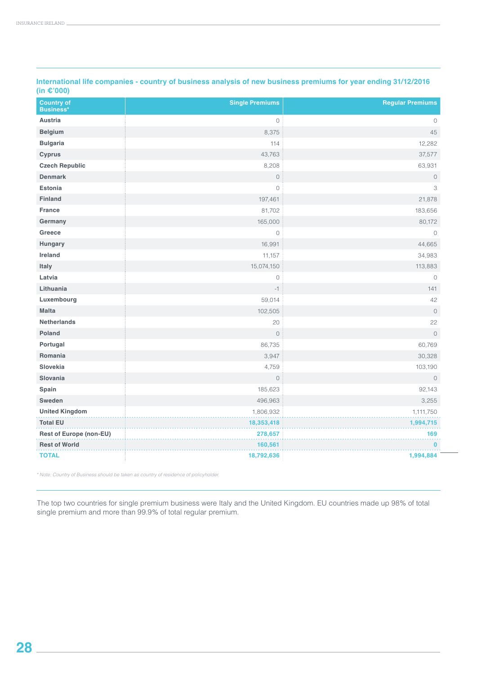| <b>Country of</b><br>Business* | <b>Single Premiums</b> | <b>Regular Premiums</b> |
|--------------------------------|------------------------|-------------------------|
| <b>Austria</b>                 | $\circ$                | $\circ$                 |
| <b>Belgium</b>                 | 8,375                  | 45                      |
| <b>Bulgaria</b>                | 114                    | 12,282                  |
| <b>Cyprus</b>                  | 43,763                 | 37,577                  |
| <b>Czech Republic</b>          | 8,208                  | 63,931                  |
| <b>Denmark</b>                 | $\mathbb O$            | $\circledcirc$          |
| <b>Estonia</b>                 | $\circ$                | 3                       |
| <b>Finland</b>                 | 197,461                | 21,878                  |
| <b>France</b>                  | 81,702                 | 183,656                 |
| Germany                        | 165,000                | 80,172                  |
| Greece                         | $\circ$                | $\circ$                 |
| Hungary                        | 16,991                 | 44,665                  |
| Ireland                        | 11,157                 | 34,983                  |
| Italy                          | 15,074,150             | 113,883                 |
| Latvia                         | $\mathbb O$            | $\circ$                 |
| Lithuania                      | $-1$                   | 141                     |
| Luxembourg                     | 59,014                 | 42                      |
| <b>Malta</b>                   | 102,505                | $\mathbb O$             |
| <b>Netherlands</b>             | 20                     | 22                      |
| <b>Poland</b>                  | $\mathbb O$            | $\circledcirc$          |
| Portugal                       | 86,735                 | 60,769                  |
| Romania                        | 3,947                  | 30,328                  |
| Slovekia                       | 4,759                  | 103,190                 |
| Slovania                       | $\circ$                | $\circ$                 |
| Spain                          | 185,623                | 92,143                  |
| Sweden                         | 496,963                | 3,255                   |
| <b>United Kingdom</b>          | 1,806,932              | 1,111,750               |
| <b>Total EU</b>                | 18,353,418             | 1,994,715               |
| Rest of Europe (non-EU)        | 278,657                | 169                     |
| <b>Rest of World</b>           | 160,561                | $\mathbf{0}$            |
| <b>TOTAL</b>                   | 18,792,636             | 1,994,884               |

**International life companies - country of business analysis of new business premiums for year ending 31/12/2016 (in €'000)**

*\* Note: Country of Business should be taken as country of residence of policyholder.*

The top two countries for single premium business were Italy and the United Kingdom. EU countries made up 98% of total single premium and more than 99.9% of total regular premium.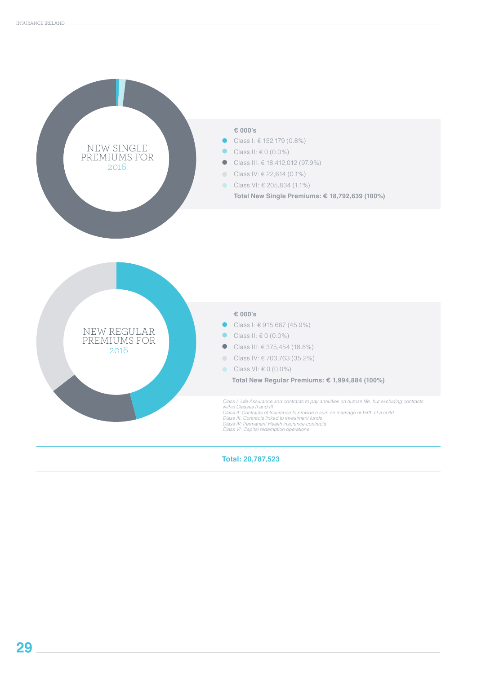

**Total: 20,787,523**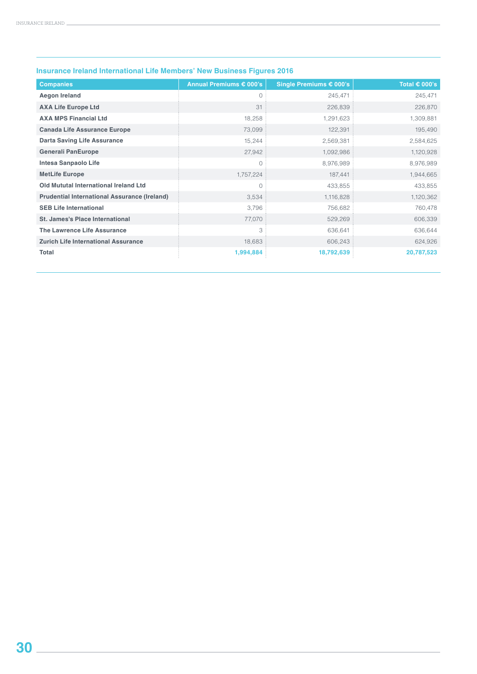| <b>Companies</b>                                    | Annual Premiums € 000's | Single Premiums € 000's | Total $\epsilon$ 000's |
|-----------------------------------------------------|-------------------------|-------------------------|------------------------|
| <b>Aegon Ireland</b>                                | $\circ$                 | 245,471                 | 245,471                |
| <b>AXA Life Europe Ltd</b>                          | 31                      | 226,839                 | 226,870                |
| <b>AXA MPS Financial Ltd</b>                        | 18,258                  | 1,291,623               | 1,309,881              |
| <b>Canada Life Assurance Europe</b>                 | 73,099                  | 122,391                 | 195,490                |
| <b>Darta Saving Life Assurance</b>                  | 15,244                  | 2,569,381               | 2,584,625              |
| <b>Generali PanEurope</b>                           | 27,942                  | 1,092,986               | 1,120,928              |
| <b>Intesa Sanpaolo Life</b>                         | 0                       | 8,976,989               | 8,976,989              |
| <b>MetLife Europe</b>                               | 1,757,224               | 187,441                 | 1,944,665              |
| Old Mututal International Ireland Ltd               | $\mathbf{0}$            | 433,855                 | 433,855                |
| <b>Prudential International Assurance (Ireland)</b> | 3,534                   | 1,116,828               | 1,120,362              |
| <b>SEB Life International</b>                       | 3,796                   | 756,682                 | 760,478                |
| <b>St. James's Place International</b>              | 77,070                  | 529,269                 | 606,339                |
| <b>The Lawrence Life Assurance</b>                  | 3                       | 636,641                 | 636,644                |
| <b>Zurich Life International Assurance</b>          | 18,683                  | 606,243                 | 624,926                |
| <b>Total</b>                                        | 1,994,884               | 18,792,639              | 20,787,523             |

#### **Insurance Ireland International Life Members' New Business Figures 2016**